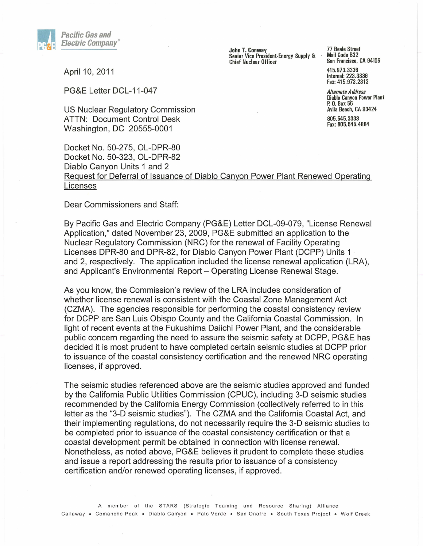

John T. Conway Senior Vice President-Energy Supply & Chief Nuclear Officer

77 Beale Street Mail Code B32 San Francisco, CA 94105

415.973.3336 Internal: 223.3336 Fax: 415.973.2313

*Alternate Address*  Diablo Canyon Power Plant p. O. Box 56 Avila Beach, CA 93424 805.545.3333 Fax: 805.545.4884

April 10, 2011

PG&E Letter DCL-11-047

US Nuclear Regulatory Commission ATTN: Document Control Desk Washington, DC 20555-0001

Docket No. 50-275, OL-DPR-80 Docket No. 50-323, OL-DPR-82 Diablo Canyon Units 1 and 2 Request for Deferral of Issuance of Diablo Canyon Power Plant Renewed Operating Licenses

Dear Commissioners and Staff:

By Pacific Gas and Electric Company (PG&E) Letter DCL-09-079, "License Renewal Application," dated November 23, 2009, PG&E submitted an application to the Nuclear Regulatory Commission (NRC) for the renewal of Facility Operating Licenses DPR-80 and DPR-82, for Diablo Canyon Power Plant (DCPP) Units 1 and 2, respectively. The application included the license renewal application (LRA), and Applicant's Environmental Report - Operating License Renewal Stage.

As you know, the Commission's review of the LRA includes consideration of whether license renewal is consistent with the Coastal Zone Management Act (CZMA). The agencies responsible for performing the coastal consistency review for DCPP are San Luis Obispo County and the California Coastal Commission. In light of recent events at the Fukushima Daiichi Power Plant, and the considerable public concern regarding the need to assure the seismic safety at DCPP, PG&E has decided it is most prudent to have completed certain seismic studies at DCPP prior to issuance of the coastal consistency certification and the renewed NRC operating licenses, if approved.

The seismic studies referenced above are the seismic studies approved and funded by the California Public Utilities Commission (CPUC), including 3-D seismic studies recommended by the California Energy Commission (collectively referred to in this letter as the "3-D seismic studies"). The CZMA and the California Coastal Act, and their implementing regulations, do not necessarily require the 3-D seismic studies to be completed prior to issuance of the coastal consistency certification or that a coastal development permit be obtained in connection with license renewal. Nonetheless, as noted above, PG&E believes it prudent to complete these studies and issue a report addressing the results prior to issuance of a consistency certification and/or renewed operating licenses, if approved.